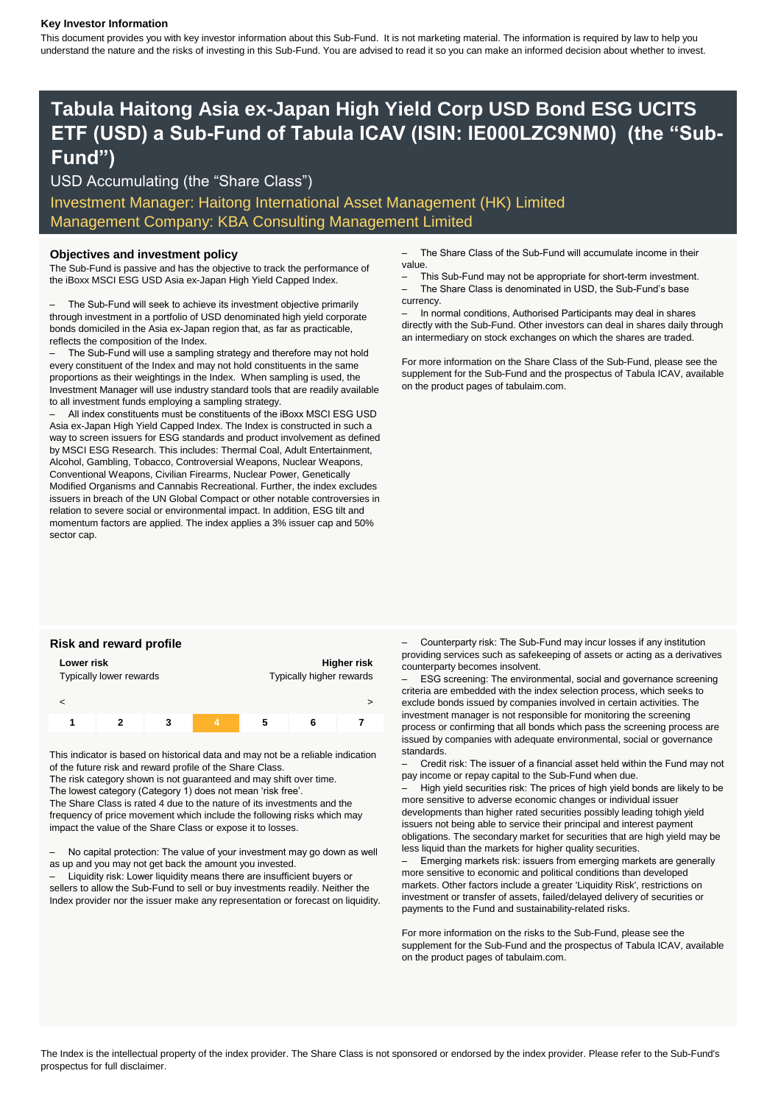### **Key Investor Information**

This document provides you with key investor information about this Sub-Fund. It is not marketing material. The information is required by law to help you understand the nature and the risks of investing in this Sub-Fund. You are advised to read it so you can make an informed decision about whether to invest.

# **Tabula Haitong Asia ex-Japan High Yield Corp USD Bond ESG UCITS ETF (USD) a Sub-Fund of Tabula ICAV (ISIN: IE000LZC9NM0) (the "Sub-Fund")**

USD Accumulating (the "Share Class")

Investment Manager: Haitong International Asset Management (HK) Limited Management Company: KBA Consulting Management Limited

The Sub-Fund is passive and has the objective to track the performance of the iBoxx MSCI ESG USD Asia ex-Japan High Yield Capped Index.

– The Sub-Fund will seek to achieve its investment objective primarily through investment in a portfolio of USD denominated high yield corporate bonds domiciled in the Asia ex-Japan region that, as far as practicable, reflects the composition of the Index.

– The Sub-Fund will use a sampling strategy and therefore may not hold every constituent of the Index and may not hold constituents in the same proportions as their weightings in the Index. When sampling is used, the Investment Manager will use industry standard tools that are readily available to all investment funds employing a sampling strategy.

– All index constituents must be constituents of the iBoxx MSCI ESG USD Asia ex-Japan High Yield Capped Index. The Index is constructed in such a way to screen issuers for ESG standards and product involvement as defined by MSCI ESG Research. This includes: Thermal Coal, Adult Entertainment, Alcohol, Gambling, Tobacco, Controversial Weapons, Nuclear Weapons, Conventional Weapons, Civilian Firearms, Nuclear Power, Genetically Modified Organisms and Cannabis Recreational. Further, the index excludes issuers in breach of the UN Global Compact or other notable controversies in relation to severe social or environmental impact. In addition, ESG tilt and momentum factors are applied. The index applies a 3% issuer cap and 50% sector cap.

**Objectives and investment policy** extended the Share Class of the Sub-Fund will accumulate income in their value.

- This Sub-Fund may not be appropriate for short-term investment.
- The Share Class is denominated in USD, the Sub-Fund's base currency.

– In normal conditions, Authorised Participants may deal in shares directly with the Sub-Fund. Other investors can deal in shares daily through an intermediary on stock exchanges on which the shares are traded.

For more information on the Share Class of the Sub-Fund, please see the supplement for the Sub-Fund and the prospectus of Tabula ICAV, available on the product pages of tabulaim.com.

| Lower risk<br>Typically lower rewards |  |   |  | Higher risk<br>Typically higher rewards |   |  |
|---------------------------------------|--|---|--|-----------------------------------------|---|--|
|                                       |  |   |  |                                         |   |  |
|                                       |  | 3 |  | 5                                       | Б |  |

This indicator is based on historical data and may not be a reliable indication of the future risk and reward profile of the Share Class.

The risk category shown is not guaranteed and may shift over time.

The lowest category (Category 1) does not mean 'risk free'.

The Share Class is rated 4 due to the nature of its investments and the frequency of price movement which include the following risks which may impact the value of the Share Class or expose it to losses.

– No capital protection: The value of your investment may go down as well as up and you may not get back the amount you invested.

– Liquidity risk: Lower liquidity means there are insufficient buyers or sellers to allow the Sub-Fund to sell or buy investments readily. Neither the Index provider nor the issuer make any representation or forecast on liquidity.

**Risk and reward profile** – Counterparty risk: The Sub-Fund may incur losses if any institution providing services such as safekeeping of assets or acting as a derivatives counterparty becomes insolvent.

> – ESG screening: The environmental, social and governance screening criteria are embedded with the index selection process, which seeks to exclude bonds issued by companies involved in certain activities. The investment manager is not responsible for monitoring the screening process or confirming that all bonds which pass the screening process are issued by companies with adequate environmental, social or governance standards.

– Credit risk: The issuer of a financial asset held within the Fund may not pay income or repay capital to the Sub-Fund when due.

– High yield securities risk: The prices of high yield bonds are likely to be more sensitive to adverse economic changes or individual issuer developments than higher rated securities possibly leading tohigh yield issuers not being able to service their principal and interest payment obligations. The secondary market for securities that are high yield may be less liquid than the markets for higher quality securities.

– Emerging markets risk: issuers from emerging markets are generally more sensitive to economic and political conditions than developed markets. Other factors include a greater 'Liquidity Risk', restrictions on investment or transfer of assets, failed/delayed delivery of securities or payments to the Fund and sustainability-related risks.

For more information on the risks to the Sub-Fund, please see the supplement for the Sub-Fund and the prospectus of Tabula ICAV, available on the product pages of tabulaim.com.